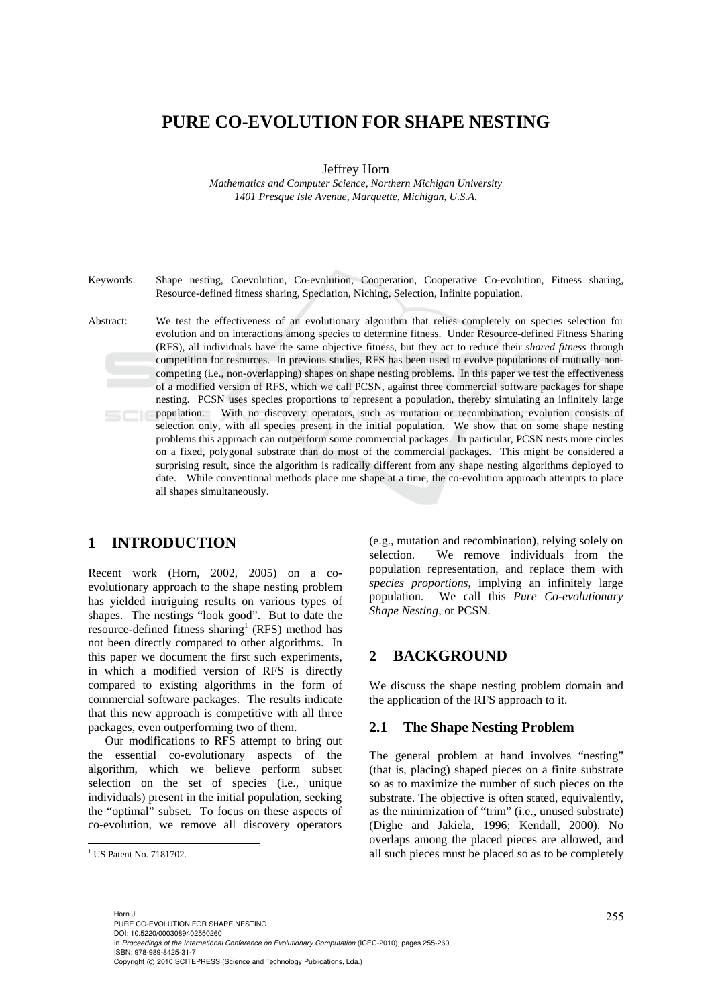# **PURE CO-EVOLUTION FOR SHAPE NESTING**

Jeffrey Horn

*Mathematics and Computer Science, Northern Michigan University 1401 Presque Isle Avenue, Marquette, Michigan, U.S.A.* 

Keywords: Shape nesting, Coevolution, Co-evolution, Cooperation, Cooperative Co-evolution, Fitness sharing, Resource-defined fitness sharing, Speciation, Niching, Selection, Infinite population.

Abstract: We test the effectiveness of an evolutionary algorithm that relies completely on species selection for evolution and on interactions among species to determine fitness. Under Resource-defined Fitness Sharing (RFS), all individuals have the same objective fitness, but they act to reduce their *shared fitness* through competition for resources. In previous studies, RFS has been used to evolve populations of mutually noncompeting (i.e., non-overlapping) shapes on shape nesting problems. In this paper we test the effectiveness of a modified version of RFS, which we call PCSN, against three commercial software packages for shape nesting. PCSN uses species proportions to represent a population, thereby simulating an infinitely large population. With no discovery operators, such as mutation or recombination, evolution consists of selection only, with all species present in the initial population. We show that on some shape nesting problems this approach can outperform some commercial packages. In particular, PCSN nests more circles on a fixed, polygonal substrate than do most of the commercial packages. This might be considered a surprising result, since the algorithm is radically different from any shape nesting algorithms deployed to date. While conventional methods place one shape at a time, the co-evolution approach attempts to place all shapes simultaneously.

# **1 INTRODUCTION**

Recent work (Horn, 2002, 2005) on a coevolutionary approach to the shape nesting problem has yielded intriguing results on various types of shapes. The nestings "look good". But to date the resource-defined fitness sharing<sup>1</sup> (RFS) method has not been directly compared to other algorithms. In this paper we document the first such experiments, in which a modified version of RFS is directly compared to existing algorithms in the form of commercial software packages. The results indicate that this new approach is competitive with all three packages, even outperforming two of them.

Our modifications to RFS attempt to bring out the essential co-evolutionary aspects of the algorithm, which we believe perform subset selection on the set of species (i.e., unique individuals) present in the initial population, seeking the "optimal" subset. To focus on these aspects of co-evolution, we remove all discovery operators

 $\overline{a}$ 

(e.g., mutation and recombination), relying solely on selection. We remove individuals from the population representation, and replace them with *species proportions*, implying an infinitely large population. We call this *Pure Co-evolutionary Shape Nesting*, or PCSN.

### **2 BACKGROUND**

We discuss the shape nesting problem domain and the application of the RFS approach to it.

#### **2.1 The Shape Nesting Problem**

The general problem at hand involves "nesting" (that is, placing) shaped pieces on a finite substrate so as to maximize the number of such pieces on the substrate. The objective is often stated, equivalently, as the minimization of "trim" (i.e., unused substrate) (Dighe and Jakiela, 1996; Kendall, 2000). No overlaps among the placed pieces are allowed, and all such pieces must be placed so as to be completely

255 Horn J.. PURE CO-EVOLUTION FOR SHAPE NESTING. DOI: 10.5220/0003089402550260 In *Proceedings of the International Conference on Evolutionary Computation* (ICEC-2010), pages 255-260 ISBN: 978-989-8425-31-7 Copyright © 2010 SCITEPRESS (Science and Technology Publications, Lda.)

<sup>&</sup>lt;sup>1</sup> US Patent No. 7181702.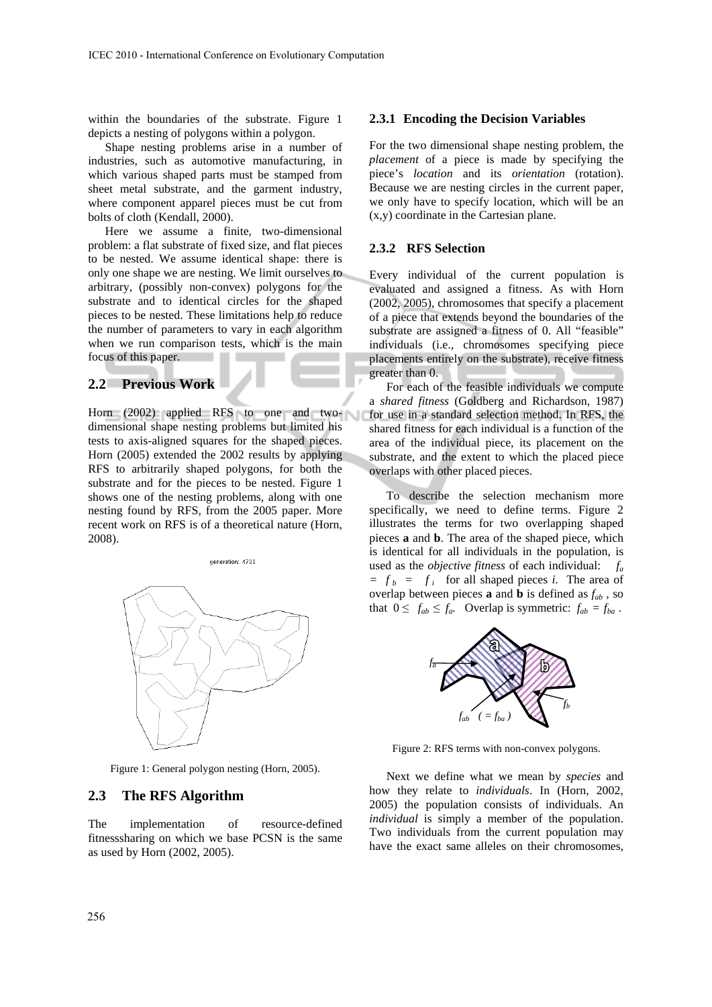within the boundaries of the substrate. Figure 1 depicts a nesting of polygons within a polygon.

Shape nesting problems arise in a number of industries, such as automotive manufacturing, in which various shaped parts must be stamped from sheet metal substrate, and the garment industry, where component apparel pieces must be cut from bolts of cloth (Kendall, 2000).

Here we assume a finite, two-dimensional problem: a flat substrate of fixed size, and flat pieces to be nested. We assume identical shape: there is only one shape we are nesting. We limit ourselves to arbitrary, (possibly non-convex) polygons for the substrate and to identical circles for the shaped pieces to be nested. These limitations help to reduce the number of parameters to vary in each algorithm when we run comparison tests, which is the main focus of this paper.

#### **2.2 Previous Work**

Horn (2002) applied RFS to one and twodimensional shape nesting problems but limited his tests to axis-aligned squares for the shaped pieces. Horn (2005) extended the 2002 results by applying RFS to arbitrarily shaped polygons, for both the substrate and for the pieces to be nested. Figure 1 shows one of the nesting problems, along with one nesting found by RFS, from the 2005 paper. More recent work on RFS is of a theoretical nature (Horn, 2008).



Figure 1: General polygon nesting (Horn, 2005).

#### **2.3 The RFS Algorithm**

The implementation of resource-defined fitnesssharing on which we base PCSN is the same as used by Horn (2002, 2005).

#### **2.3.1 Encoding the Decision Variables**

For the two dimensional shape nesting problem, the *placement* of a piece is made by specifying the piece's *location* and its *orientation* (rotation). Because we are nesting circles in the current paper, we only have to specify location, which will be an (x,y) coordinate in the Cartesian plane.

#### **2.3.2 RFS Selection**

Every individual of the current population is evaluated and assigned a fitness. As with Horn (2002, 2005), chromosomes that specify a placement of a piece that extends beyond the boundaries of the substrate are assigned a fitness of 0. All "feasible" individuals (i.e., chromosomes specifying piece placements entirely on the substrate), receive fitness greater than 0.

For each of the feasible individuals we compute a *shared fitness* (Goldberg and Richardson, 1987) for use in a standard selection method. In RFS, the shared fitness for each individual is a function of the area of the individual piece, its placement on the substrate, and the extent to which the placed piece overlaps with other placed pieces.

To describe the selection mechanism more specifically, we need to define terms. Figure 2 illustrates the terms for two overlapping shaped pieces **a** and **b**. The area of the shaped piece, which is identical for all individuals in the population, is used as the *objective fitness* of each individual: *fa*   $= f_b = f_i$  for all shaped pieces *i*. The area of overlap between pieces  $\mathbf{a}$  and  $\mathbf{b}$  is defined as  $f_{ab}$ , so that  $0 \le f_{ab} \le f_a$ . Overlap is symmetric:  $f_{ab} = f_{ba}$ .



Figure 2: RFS terms with non-convex polygons.

Next we define what we mean by *species* and how they relate to *individuals*. In (Horn, 2002, 2005) the population consists of individuals. An *individual* is simply a member of the population. Two individuals from the current population may have the exact same alleles on their chromosomes,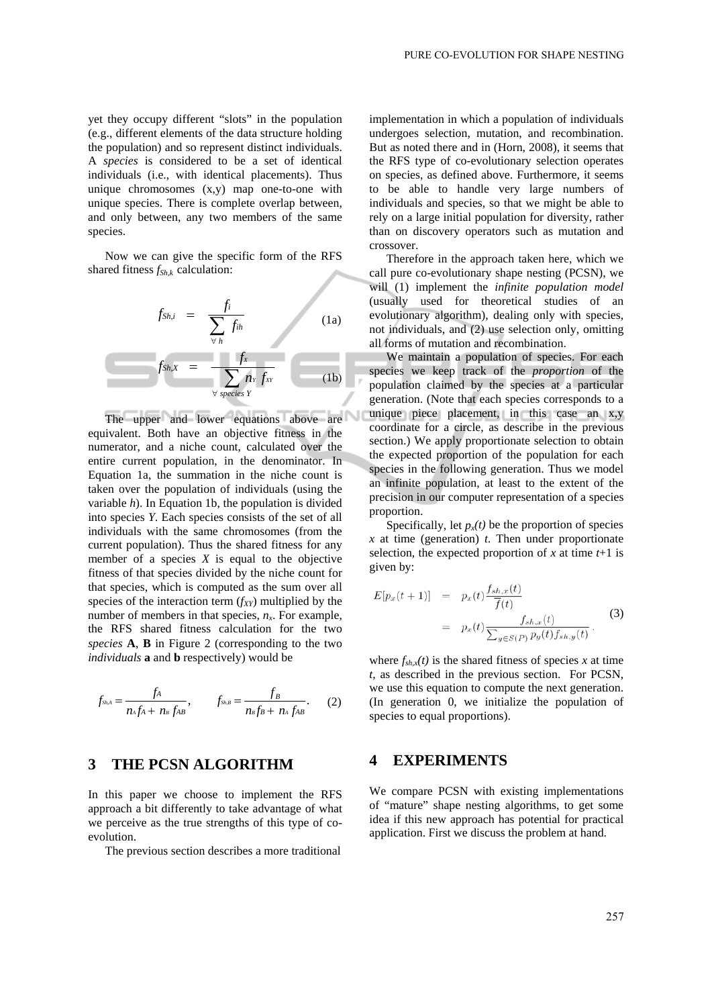yet they occupy different "slots" in the population (e.g., different elements of the data structure holding the population) and so represent distinct individuals. A *species* is considered to be a set of identical individuals (i.e., with identical placements). Thus unique chromosomes (x,y) map one-to-one with unique species. There is complete overlap between, and only between, any two members of the same species.

Now we can give the specific form of the RFS shared fitness  $f_{Shk}$  calculation:

$$
f_{Sh,i} = \frac{f_i}{\sum_{\forall h} f_{ih}}
$$
 (1a)  

$$
f_{Sh,X} = \frac{f_x}{\sum_{\forall \text{ species } Y} n_Y f_{XY}}
$$
 (1b)

I

The upper and lower equations above are equivalent. Both have an objective fitness in the numerator, and a niche count, calculated over the entire current population, in the denominator. In Equation 1a, the summation in the niche count is taken over the population of individuals (using the variable *h*). In Equation 1b, the population is divided into species *Y*. Each species consists of the set of all individuals with the same chromosomes (from the current population). Thus the shared fitness for any member of a species  $X$  is equal to the objective fitness of that species divided by the niche count for that species, which is computed as the sum over all species of the interaction term  $(f_{XY})$  multiplied by the number of members in that species,  $n<sub>x</sub>$ . For example, the RFS shared fitness calculation for the two *species* **A**, **B** in Figure 2 (corresponding to the two *individuals* **a** and **b** respectively) would be

$$
f_{\rm ShA} = \frac{f_A}{n_A f_A + n_B f_A B}, \qquad f_{\rm Sh,B} = \frac{f_B}{n_B f_B + n_A f_A B}. \tag{2}
$$

# **3 THE PCSN ALGORITHM**

In this paper we choose to implement the RFS approach a bit differently to take advantage of what we perceive as the true strengths of this type of coevolution.

The previous section describes a more traditional

implementation in which a population of individuals undergoes selection, mutation, and recombination. But as noted there and in (Horn, 2008), it seems that the RFS type of co-evolutionary selection operates on species, as defined above. Furthermore, it seems to be able to handle very large numbers of individuals and species, so that we might be able to rely on a large initial population for diversity, rather than on discovery operators such as mutation and crossover.

Therefore in the approach taken here, which we call pure co-evolutionary shape nesting (PCSN), we will (1) implement the *infinite population model* (usually used for theoretical studies of an evolutionary algorithm), dealing only with species, not individuals, and (2) use selection only, omitting all forms of mutation and recombination.

We maintain a population of species. For each species we keep track of the *proportion* of the population claimed by the species at a particular generation. (Note that each species corresponds to a unique piece placement, in this case an x,y coordinate for a circle, as describe in the previous section.) We apply proportionate selection to obtain the expected proportion of the population for each species in the following generation. Thus we model an infinite population, at least to the extent of the precision in our computer representation of a species proportion.

Specifically, let  $p_x(t)$  be the proportion of species *x* at time (generation) *t*. Then under proportionate selection, the expected proportion of  $x$  at time  $t+1$  is given by:

$$
E[p_x(t+1)] = p_x(t) \frac{f_{sh,x}(t)}{\overline{f}(t)}
$$
  

$$
= p_x(t) \frac{f_{sh,x}(t)}{\sum_{y \in S(P)} p_y(t) f_{sh,y}(t)}.
$$
 (3)

 $\sim$ 

where  $f_{sh,x}(t)$  is the shared fitness of species *x* at time *t*, as described in the previous section. For PCSN, we use this equation to compute the next generation. (In generation 0, we initialize the population of species to equal proportions).

# **4 EXPERIMENTS**

We compare PCSN with existing implementations of "mature" shape nesting algorithms, to get some idea if this new approach has potential for practical application. First we discuss the problem at hand.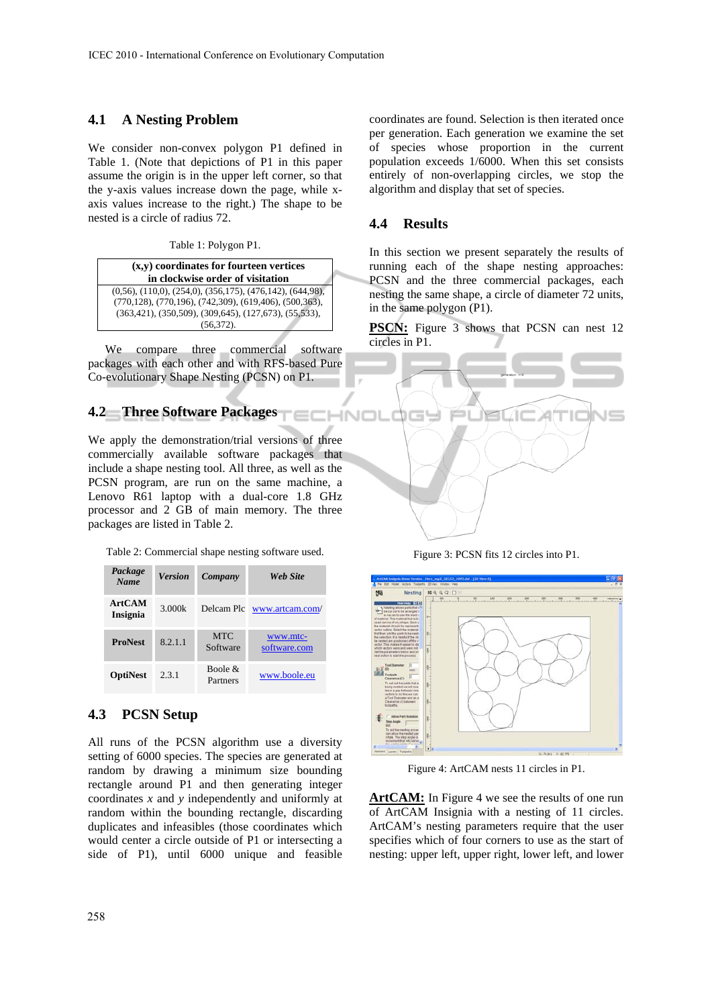#### **4.1 A Nesting Problem**

We consider non-convex polygon P1 defined in Table 1. (Note that depictions of P1 in this paper assume the origin is in the upper left corner, so that the y-axis values increase down the page, while xaxis values increase to the right.) The shape to be nested is a circle of radius 72.

Table 1: Polygon P1.

**(x,y) coordinates for fourteen vertices in clockwise order of visitation**  (0,56), (110,0), (254,0), (356,175), (476,142), (644,98), (770,128), (770,196), (742,309), (619,406), (500,363), (363,421), (350,509), (309,645), (127,673), (55,533), (56,372).

We compare three commercial software packages with each other and with RFS-based Pure Co-evolutionary Shape Nesting (PCSN) on P1.

# **4.2 Three Software Packages**

We apply the demonstration/trial versions of three commercially available software packages that include a shape nesting tool. All three, as well as the PCSN program, are run on the same machine, a Lenovo R61 laptop with a dual-core 1.8 GHz processor and 2 GB of main memory. The three packages are listed in Table 2.

Table 2: Commercial shape nesting software used.

| Package<br><b>Name</b>    | <b>Version</b> | Company                | Web Site                 |
|---------------------------|----------------|------------------------|--------------------------|
| <b>ArtCAM</b><br>Insignia | 3.000k         | Delcam Plc             | www.artcam.com/          |
| <b>ProNest</b>            | 8.2.1.1        | <b>MTC</b><br>Software | www.mtc-<br>software.com |
| <b>OptiNest</b>           | 2.3.1          | Boole $\&$<br>Partners | www.boole.eu             |

# **4.3 PCSN Setup**

All runs of the PCSN algorithm use a diversity setting of 6000 species. The species are generated at random by drawing a minimum size bounding rectangle around P1 and then generating integer coordinates *x* and *y* independently and uniformly at random within the bounding rectangle, discarding duplicates and infeasibles (those coordinates which would center a circle outside of P1 or intersecting a side of P1), until 6000 unique and feasible

coordinates are found. Selection is then iterated once per generation. Each generation we examine the set of species whose proportion in the current population exceeds 1/6000. When this set consists entirely of non-overlapping circles, we stop the algorithm and display that set of species.

#### **4.4 Results**

In this section we present separately the results of running each of the shape nesting approaches: PCSN and the three commercial packages, each nesting the same shape, a circle of diameter 72 units, in the same polygon (P1).

**PSCN:** Figure 3 shows that PCSN can nest 12 circles in P1.



Figure 3: PCSN fits 12 circles into P1.



Figure 4: ArtCAM nests 11 circles in P1.

ArtCAM: In Figure 4 we see the results of one run of ArtCAM Insignia with a nesting of 11 circles. ArtCAM's nesting parameters require that the user specifies which of four corners to use as the start of nesting: upper left, upper right, lower left, and lower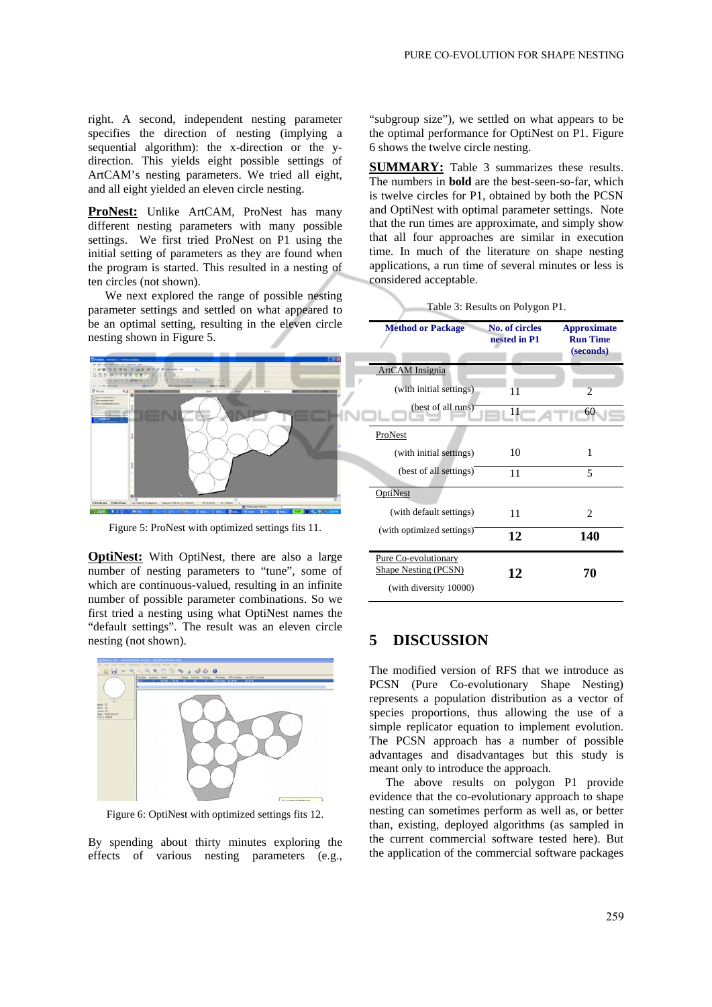right. A second, independent nesting parameter specifies the direction of nesting (implying a sequential algorithm): the x-direction or the ydirection. This yields eight possible settings of ArtCAM's nesting parameters. We tried all eight, and all eight yielded an eleven circle nesting.

ProNest: Unlike ArtCAM, ProNest has many different nesting parameters with many possible settings. We first tried ProNest on P1 using the initial setting of parameters as they are found when the program is started. This resulted in a nesting of ten circles (not shown).

We next explored the range of possible nesting parameter settings and settled on what appeared to be an optimal setting, resulting in the eleven circle nesting shown in Figure 5.



Figure 5: ProNest with optimized settings fits 11.

**OptiNest:** With OptiNest, there are also a large number of nesting parameters to "tune", some of which are continuous-valued, resulting in an infinite number of possible parameter combinations. So we first tried a nesting using what OptiNest names the "default settings". The result was an eleven circle nesting (not shown).



Figure 6: OptiNest with optimized settings fits 12.

By spending about thirty minutes exploring the effects of various nesting parameters (e.g.,

"subgroup size"), we settled on what appears to be the optimal performance for OptiNest on P1. Figure 6 shows the twelve circle nesting.

**SUMMARY:** Table 3 summarizes these results. The numbers in **bold** are the best-seen-so-far, which is twelve circles for P1, obtained by both the PCSN and OptiNest with optimal parameter settings. Note that the run times are approximate, and simply show that all four approaches are similar in execution time. In much of the literature on shape nesting applications, a run time of several minutes or less is considered acceptable.

| Table 3: Results on Polygon P1. |  |
|---------------------------------|--|
|---------------------------------|--|

| <b>Method or Package</b>  | <b>No. of circles</b><br>nested in P1 | <b>Approximate</b><br><b>Run Time</b> |
|---------------------------|---------------------------------------|---------------------------------------|
|                           |                                       | (seconds)                             |
| ArtCAM Insignia           |                                       |                                       |
| (with initial settings)   | 11                                    | $\overline{2}$                        |
| (best of all runs)        | 11                                    | 60                                    |
| ProNest                   |                                       |                                       |
| (with initial settings)   | 10                                    | 1                                     |
| (best of all settings)    | 11                                    | 5                                     |
| OptiNest                  |                                       |                                       |
| (with default settings)   | 11                                    | 2                                     |
| (with optimized settings) | 12                                    | 140                                   |
| Pure Co-evolutionary      |                                       |                                       |
| Shape Nesting (PCSN)      | 12                                    | 70                                    |
| (with diversity 10000)    |                                       |                                       |

## **5 DISCUSSION**

The modified version of RFS that we introduce as PCSN (Pure Co-evolutionary Shape Nesting) represents a population distribution as a vector of species proportions, thus allowing the use of a simple replicator equation to implement evolution. The PCSN approach has a number of possible advantages and disadvantages but this study is meant only to introduce the approach.

The above results on polygon P1 provide evidence that the co-evolutionary approach to shape nesting can sometimes perform as well as, or better than, existing, deployed algorithms (as sampled in the current commercial software tested here). But the application of the commercial software packages